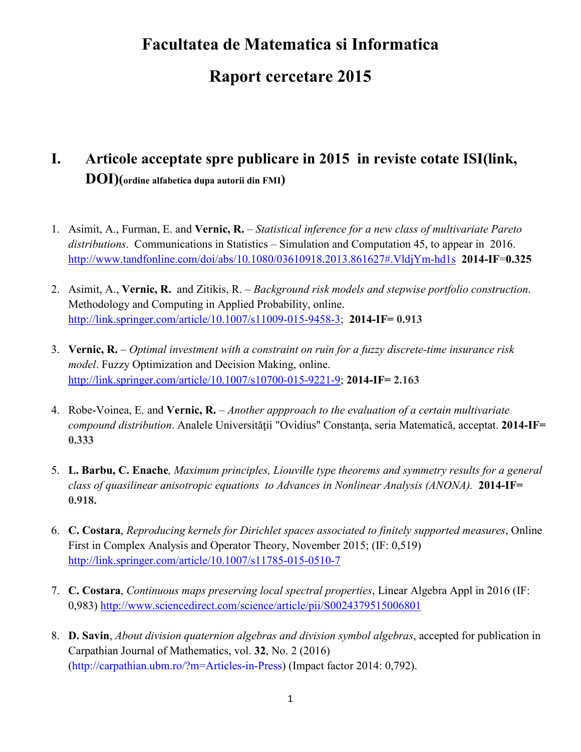# **Facultatea de Matematica si Informatica**

# **Raport cercetare 2015**

# **I. Articole acceptate spre publicare in 2015 in reviste cotate ISI(link, DOI)(ordine alfabetica dupa autorii din FMI)**

- 1. Asimit, A., Furman, E. and **Vernic, R.**  *Statistical inference for a new class of multivariate Pareto distributions*. Communications in Statistics – Simulation and Computation 45, to appear in 2016. http://www.tandfonline.com/doi/abs/10.1080/03610918.2013.861627#.VldjYm-hd1s **2014-IF**=**0.325**
- 2. Asimit, A., **Vernic, R.** and Zitikis, R. *Background risk models and stepwise portfolio construction*. Methodology and Computing in Applied Probability, online. http://link.springer.com/article/10.1007/s11009-015-9458-3; **2014-IF= 0.913**
- 3. **Vernic, R.** *Optimal investment with a constraint on ruin for a fuzzy discrete-time insurance risk model*. Fuzzy Optimization and Decision Making, online. http://link.springer.com/article/10.1007/s10700-015-9221-9; **2014-IF= 2.163**
- 4. Robe-Voinea, E. and **Vernic, R.** *Another appproach to the evaluation of a certain multivariate compound distribution*. Analele Universităţii "Ovidius" Constanţa, seria Matematică, acceptat. **2014-IF= 0.333**
- 5. **L. Barbu, C. Enache***, Maximum principles, Liouville type theorems and symmetry results for a general class of quasilinear anisotropic equations to Advances in Nonlinear Analysis (ANONA).* **2014-IF= 0.918.**
- 6. **C. Costara**, *Reproducing kernels for Dirichlet spaces associated to finitely supported measures*, Online First in Complex Analysis and Operator Theory, November 2015; (IF: 0,519) http://link.springer.com/article/10.1007/s11785-015-0510-7
- 7. **C. Costara**, *Continuous maps preserving local spectral properties*, Linear Algebra Appl in 2016 (IF: 0,983) http://www.sciencedirect.com/science/article/pii/S0024379515006801
- 8. **D. Savin**, *About division quaternion algebras and division symbol algebras*, accepted for publication in Carpathian Journal of Mathematics, vol. **32**, No. 2 (2016) (http://carpathian.ubm.ro/?m=Articles-in-Press) (Impact factor 2014: 0,792).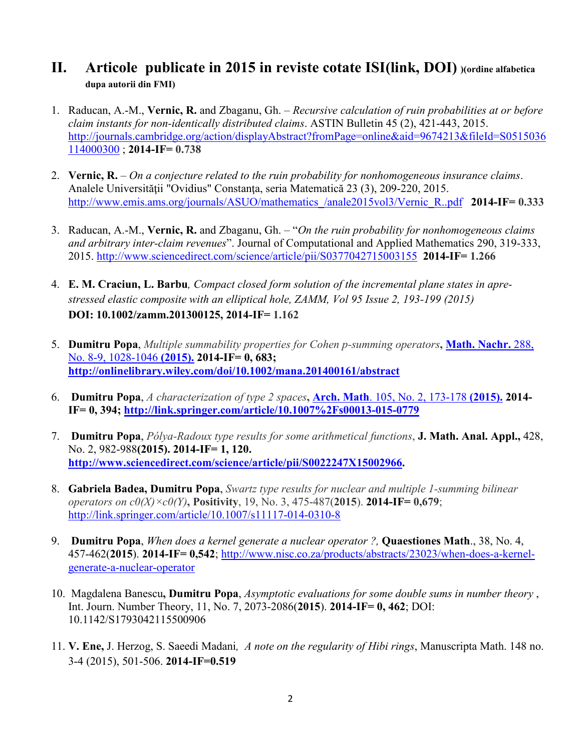#### **II. Articole publicate in 2015 in reviste cotate ISI(link, DOI) )(ordine alfabetica dupa autorii din FMI)**

- 1. Raducan, A.-M., **Vernic, R.** and Zbaganu, Gh. *Recursive calculation of ruin probabilities at or before claim instants for non-identically distributed claims*. ASTIN Bulletin 45 (2), 421-443, 2015. http://journals.cambridge.org/action/displayAbstract?fromPage=online&aid=9674213&fileId=S0515036 114000300 ; **2014-IF= 0.738**
- 2. **Vernic, R.** *On a conjecture related to the ruin probability for nonhomogeneous insurance claims*. Analele Universităţii "Ovidius" Constanţa, seria Matematică 23 (3), 209-220, 2015. http://www.emis.ams.org/journals/ASUO/mathematics\_/anale2015vol3/Vernic\_R..pdf **2014-IF= 0.333**
- 3. Raducan, A.-M., **Vernic, R.** and Zbaganu, Gh. "*On the ruin probability for nonhomogeneous claims and arbitrary inter-claim revenues*". Journal of Computational and Applied Mathematics 290, 319-333, 2015. http://www.sciencedirect.com/science/article/pii/S0377042715003155 **2014-IF= 1.266**
- 4. **E. M. Craciun, L. Barbu***, Compact closed form solution of the incremental plane states in aprestressed elastic composite with an elliptical hole, ZAMM, Vol 95 Issue 2, 193-199 (2015)*  **DOI: 10.1002/zamm.201300125, 2014-IF= 1.162**
- 5. **Dumitru Popa**, *Multiple summability properties for Cohen p-summing operators***, Math. Nachr.** 288, No. 8-9, 1028-1046 **(2015). 2014-IF= 0, 683; http://onlinelibrary.wiley.com/doi/10.1002/mana.201400161/abstract**
- 6. **Dumitru Popa**, *A characterization of type 2 spaces***, Arch. Math**. 105, No. 2, 173-178 **(2015). 2014- IF= 0, 394; http://link.springer.com/article/10.1007%2Fs00013-015-0779**
- 7. **Dumitru Popa**, *Pólya-Radoux type results for some arithmetical functions*, **J. Math. Anal. Appl.,** 428, No. 2, 982-988**(2015). 2014-IF= 1, 120. http://www.sciencedirect.com/science/article/pii/S0022247X15002966.**
- 8. **Gabriela Badea, Dumitru Popa**, *Swartz type results for nuclear and multiple 1-summing bilinear operators on c0(X)×c0(Y)***, Positivity**, 19, No. 3, 475-487(**2015**). **2014-IF= 0,679**; http://link.springer.com/article/10.1007/s11117-014-0310-8
- 9. **Dumitru Popa**, *When does a kernel generate a nuclear operator ?,* **Quaestiones Math**., 38, No. 4, 457-462(**2015**). **2014-IF= 0,542**; http://www.nisc.co.za/products/abstracts/23023/when-does-a-kernelgenerate-a-nuclear-operator
- 10. Magdalena Banescu**, Dumitru Popa**, *Asymptotic evaluations for some double sums in number theory* , Int. Journ. Number Theory, 11, No. 7, 2073-2086(**2015**). **2014-IF= 0, 462**; DOI: 10.1142/S1793042115500906
- 11. **V. Ene,** J. Herzog, S. Saeedi Madani*, A note on the regularity of Hibi rings*, Manuscripta Math. 148 no. 3-4 (2015), 501-506. **2014-IF=0.519**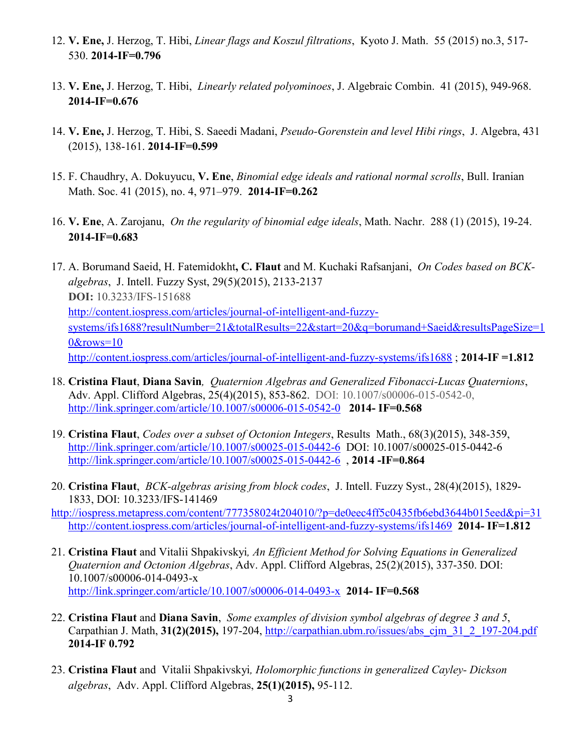- 12. **V. Ene,** J. Herzog, T. Hibi, *Linear flags and Koszul filtrations*, Kyoto J. Math. 55 (2015) no.3, 517- 530. **2014-IF=0.796**
- 13. **V. Ene,** J. Herzog, T. Hibi, *Linearly related polyominoes*, J. Algebraic Combin. 41 (2015), 949-968. **2014-IF=0.676**
- 14. **V. Ene,** J. Herzog, T. Hibi, S. Saeedi Madani, *Pseudo-Gorenstein and level Hibi rings*, J. Algebra, 431 (2015), 138-161. **2014-IF=0.599**
- 15. F. Chaudhry, A. Dokuyucu, **V. Ene**, *Binomial edge ideals and rational normal scrolls*, Bull. Iranian Math. Soc. 41 (2015), no. 4, 971–979. **2014-IF=0.262**
- 16. **V. Ene**, A. Zarojanu, *On the regularity of binomial edge ideals*, Math. Nachr. 288 (1) (2015), 19-24. **2014-IF=0.683**
- 17. A. Borumand Saeid, H. Fatemidokht**, C. Flaut** and M. Kuchaki Rafsanjani, *On Codes based on BCKalgebras*, J. Intell. Fuzzy Syst, 29(5)(2015), 2133-2137 **DOI:** 10.3233/IFS-151688 http://content.iospress.com/articles/journal-of-intelligent-and-fuzzysystems/ifs1688?resultNumber=21&totalResults=22&start=20&q=borumand+Saeid&resultsPageSize=1 0&rows=10 http://content.iospress.com/articles/journal-of-intelligent-and-fuzzy-systems/ifs1688 ; **2014-IF =1.812**
- 18. **Cristina Flaut**, **Diana Savin***, Quaternion Algebras and Generalized Fibonacci-Lucas Quaternions*, Adv. Appl. Clifford Algebras, 25(4)(2015), 853-862. DOI: 10.1007/s00006-015-0542-0, http://link.springer.com/article/10.1007/s00006-015-0542-0 **2014- IF=0.568**
- 19. **Cristina Flaut**, *Codes over a subset of Octonion Integers*, Results Math., 68(3)(2015), 348-359, http://link.springer.com/article/10.1007/s00025-015-0442-6 DOI: 10.1007/s00025-015-0442-6 http://link.springer.com/article/10.1007/s00025-015-0442-6 , **2014 -IF=0.864**
- 20. **Cristina Flaut**, *BCK-algebras arising from block codes*, J. Intell. Fuzzy Syst., 28(4)(2015), 1829- 1833, DOI: 10.3233/IFS-141469
- http://iospress.metapress.com/content/777358024t204010/?p=de0eec4ff5c0435fb6ebd3644b015eed&pi=31 http://content.iospress.com/articles/journal-of-intelligent-and-fuzzy-systems/ifs1469 **2014- IF=1.812**
- 21. **Cristina Flaut** and Vitalii Shpakivskyi*, An Efficient Method for Solving Equations in Generalized Quaternion and Octonion Algebras*, Adv. Appl. Clifford Algebras, 25(2)(2015), 337-350. DOI: 10.1007/s00006-014-0493-x http://link.springer.com/article/10.1007/s00006-014-0493-x **2014- IF=0.568**
- 22. **Cristina Flaut** and **Diana Savin**, *Some examples of division symbol algebras of degree 3 and 5*, Carpathian J. Math, **31(2)(2015),** 197-204, http://carpathian.ubm.ro/issues/abs\_cjm\_31\_2\_197-204.pdf **2014-IF 0.792**
- 23. **Cristina Flaut** and Vitalii Shpakivskyi*, Holomorphic functions in generalized Cayley- Dickson algebras*, Adv. Appl. Clifford Algebras, **25(1)(2015),** 95-112.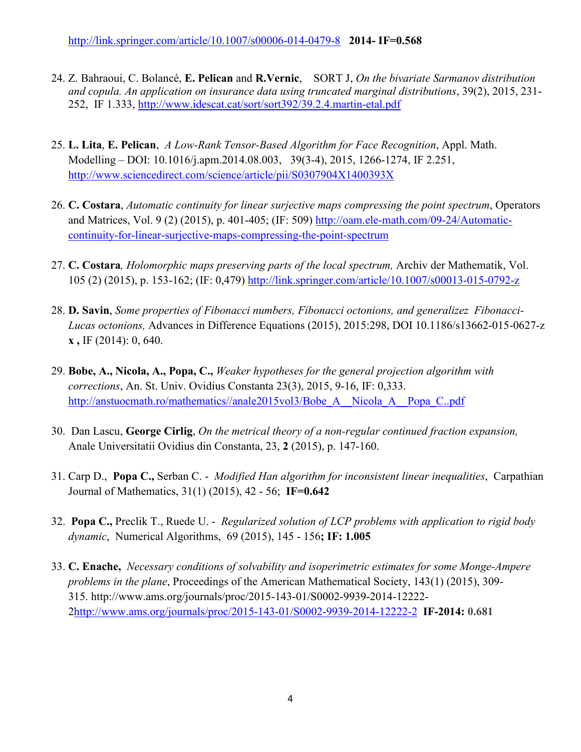- 24. Z. Bahraoui, C. Bolancé, **E. Pelican** and **R.Vernic**, SORT J, *On the bivariate Sarmanov distribution and copula. An application on insurance data using truncated marginal distributions*, 39(2), 2015, 231- 252, IF 1.333, http://www.idescat.cat/sort/sort392/39.2.4.martin-etal.pdf
- 25. **L. Lita**, **E. Pelican**, *A Low-Rank Tensor-Based Algorithm for Face Recognition*, Appl. Math. Modelling – DOI: 10.1016/j.apm.2014.08.003, 39(3-4), 2015, 1266-1274, IF 2.251, http://www.sciencedirect.com/science/article/pii/S0307904X1400393X
- 26. **C. Costara**, *Automatic continuity for linear surjective maps compressing the point spectrum*, Operators and Matrices, Vol. 9 (2) (2015), p. 401-405; (IF: 509) http://oam.ele-math.com/09-24/Automaticcontinuity-for-linear-surjective-maps-compressing-the-point-spectrum
- 27. **C. Costara***, Holomorphic maps preserving parts of the local spectrum,* Archiv der Mathematik, Vol. 105 (2) (2015), p. 153-162; (IF: 0,479) http://link.springer.com/article/10.1007/s00013-015-0792-z
- 28. **D. Savin**, *Some properties of Fibonacci numbers, Fibonacci octonions, and generalizez Fibonacci-Lucas octonions,* Advances in Difference Equations (2015), 2015:298, DOI 10.1186/s13662-015-0627-z **x ,** IF (2014): 0, 640.
- 29. **Bobe, A., Nicola, A., Popa, C.,** *Weaker hypotheses for the general projection algorithm with corrections*, An. St. Univ. Ovidius Constanta 23(3), 2015, 9-16, IF: 0,333. http://anstuocmath.ro/mathematics//anale2015vol3/Bobe\_A\_\_Nicola\_A\_\_Popa\_C..pdf
- 30. Dan Lascu, **George Cirlig**, *On the metrical theory of a non-regular continued fraction expansion,*  Anale Universitatii Ovidius din Constanta, 23, **2** (2015), p. 147-160.
- 31. Carp D., **Popa C.,** Serban C. *Modified Han algorithm for inconsistent linear inequalities*, Carpathian Journal of Mathematics, 31(1) (2015), 42 - 56; **IF=0.642**
- 32. **Popa C.,** Preclik T., Ruede U. *Regularized solution of LCP problems with application to rigid body dynamic*, Numerical Algorithms, 69 (2015), 145 - 156**; IF: 1.005**
- 33. **C. Enache,** *Necessary conditions of solvability and isoperimetric estimates for some Monge-Ampere problems in the plane*, Proceedings of the American Mathematical Society, 143(1) (2015), 309- 315. http://www.ams.org/journals/proc/2015-143-01/S0002-9939-2014-12222- 2http://www.ams.org/journals/proc/2015-143-01/S0002-9939-2014-12222-2 **IF-2014: 0.681**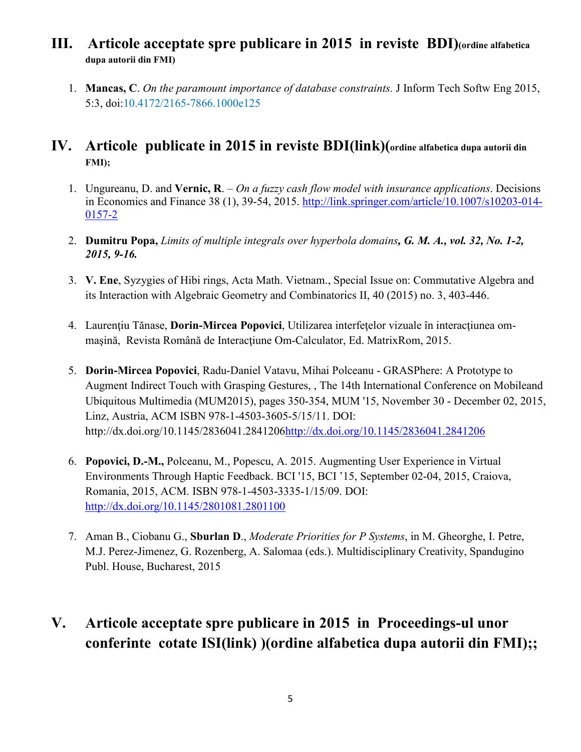### **III. Articole acceptate spre publicare in 2015 in reviste BDI)(ordine alfabetica dupa autorii din FMI)**

1. **Mancas, C**. *On the paramount importance of database constraints.* J Inform Tech Softw Eng 2015, 5:3, doi:10.4172/2165-7866.1000e125

### **IV. Articole publicate in 2015 in reviste BDI(link)(ordine alfabetica dupa autorii din FMI);**

- 1. Ungureanu, D. and **Vernic, R**. *On a fuzzy cash flow model with insurance applications*. Decisions in Economics and Finance 38 (1), 39-54, 2015. http://link.springer.com/article/10.1007/s10203-014- 0157-2
- 2. **Dumitru Popa,** *Limits of multiple integrals over hyperbola domains, G. M. A., vol. 32, No. 1-2, 2015, 9-16.*
- 3. **V. Ene**, Syzygies of Hibi rings, Acta Math. Vietnam., Special Issue on: Commutative Algebra and its Interaction with Algebraic Geometry and Combinatorics II, 40 (2015) no. 3, 403-446.
- 4. Laurențiu Tănase, **Dorin-Mircea Popovici**, Utilizarea interfețelor vizuale în interacțiunea ommașină, Revista Română de Interactiune Om-Calculator, Ed. MatrixRom, 2015.
- 5. **Dorin-Mircea Popovici**, Radu-Daniel Vatavu, Mihai Polceanu GRASPhere: A Prototype to Augment Indirect Touch with Grasping Gestures, , The 14th International Conference on Mobileand Ubiquitous Multimedia (MUM2015), pages 350-354, MUM '15, November 30 - December 02, 2015, Linz, Austria, ACM ISBN 978-1-4503-3605-5/15/11. DOI: http://dx.doi.org/10.1145/2836041.2841206http://dx.doi.org/10.1145/2836041.2841206
- 6. **Popovici, D.-M.,** Polceanu, M., Popescu, A. 2015. Augmenting User Experience in Virtual Environments Through Haptic Feedback. BCI '15, BCI '15, September 02-04, 2015, Craiova, Romania, 2015, ACM. ISBN 978-1-4503-3335-1/15/09. DOI: http://dx.doi.org/10.1145/2801081.2801100
- 7. Aman B., Ciobanu G., **Sburlan D**., *Moderate Priorities for P Systems*, in M. Gheorghe, I. Petre, M.J. Perez-Jimenez, G. Rozenberg, A. Salomaa (eds.). Multidisciplinary Creativity, Spandugino Publ. House, Bucharest, 2015

# **V. Articole acceptate spre publicare in 2015 in Proceedings-ul unor conferinte cotate ISI(link) )(ordine alfabetica dupa autorii din FMI);;**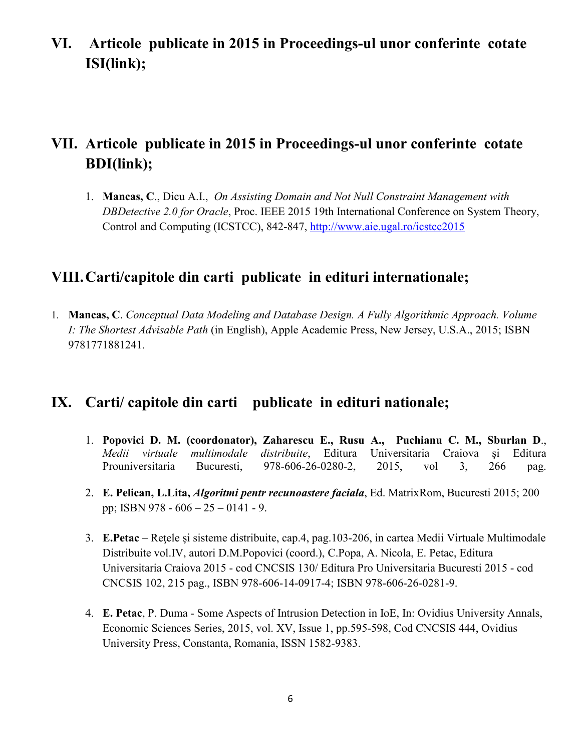**VI. Articole publicate in 2015 in Proceedings-ul unor conferinte cotate ISI(link);** 

# **VII. Articole publicate in 2015 in Proceedings-ul unor conferinte cotate BDI(link);**

1. **Mancas, C**., Dicu A.I., *On Assisting Domain and Not Null Constraint Management with DBDetective 2.0 for Oracle*, Proc. IEEE 2015 19th International Conference on System Theory, Control and Computing (ICSTCC), 842-847, http://www.aie.ugal.ro/icstcc2015

### **VIII.Carti/capitole din carti publicate in edituri internationale;**

1. **Mancas, C**. *Conceptual Data Modeling and Database Design. A Fully Algorithmic Approach. Volume I: The Shortest Advisable Path* (in English), Apple Academic Press, New Jersey, U.S.A., 2015; ISBN 9781771881241.

### **IX. Carti/ capitole din carti publicate in edituri nationale;**

- 1. **Popovici D. M. (coordonator), Zaharescu E., Rusu A., Puchianu C. M., Sburlan D**., *Medii virtuale multimodale distribuite*, Editura Universitaria Craiova şi Editura Prouniversitaria Bucuresti, 978-606-26-0280-2, 2015, vol 3, 266 pag.
- 2. **E. Pelican, L.Lita,** *Algoritmi pentr recunoastere faciala*, Ed. MatrixRom, Bucuresti 2015; 200 pp; ISBN 978 - 606 – 25 – 0141 - 9.
- 3. **E.Petac** Reţele şi sisteme distribuite, cap.4, pag.103-206, in cartea Medii Virtuale Multimodale Distribuite vol.IV, autori D.M.Popovici (coord.), C.Popa, A. Nicola, E. Petac, Editura Universitaria Craiova 2015 - cod CNCSIS 130/ Editura Pro Universitaria Bucuresti 2015 - cod CNCSIS 102, 215 pag., ISBN 978-606-14-0917-4; ISBN 978-606-26-0281-9.
- 4. **E. Petac**, P. Duma Some Aspects of Intrusion Detection in IoE, In: Ovidius University Annals, Economic Sciences Series, 2015, vol. XV, Issue 1, pp.595-598, Cod CNCSIS 444, Ovidius University Press, Constanta, Romania, ISSN 1582-9383.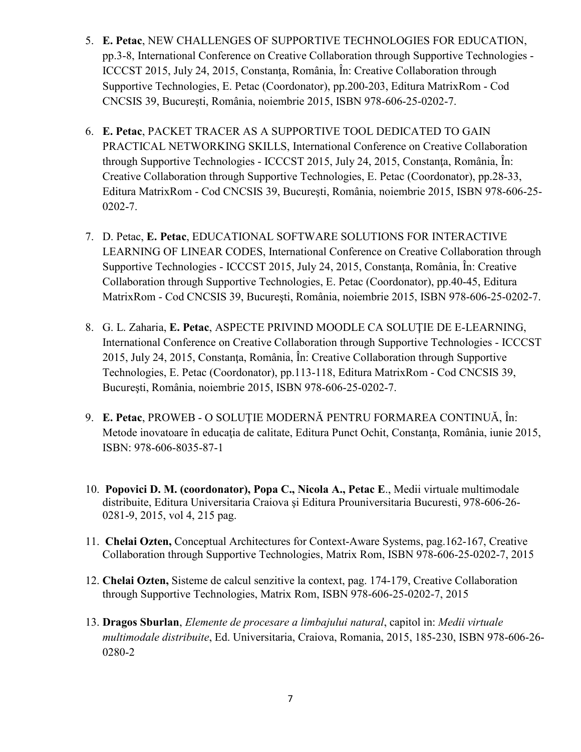- 5. **E. Petac**, NEW CHALLENGES OF SUPPORTIVE TECHNOLOGIES FOR EDUCATION, pp.3-8, International Conference on Creative Collaboration through Supportive Technologies - ICCCST 2015, July 24, 2015, Constanţa, România, În: Creative Collaboration through Supportive Technologies, E. Petac (Coordonator), pp.200-203, Editura MatrixRom - Cod CNCSIS 39, Bucureşti, România, noiembrie 2015, ISBN 978-606-25-0202-7.
- 6. **E. Petac**, PACKET TRACER AS A SUPPORTIVE TOOL DEDICATED TO GAIN PRACTICAL NETWORKING SKILLS, International Conference on Creative Collaboration through Supportive Technologies - ICCCST 2015, July 24, 2015, Constanţa, România, În: Creative Collaboration through Supportive Technologies, E. Petac (Coordonator), pp.28-33, Editura MatrixRom - Cod CNCSIS 39, Bucureşti, România, noiembrie 2015, ISBN 978-606-25- 0202-7.
- 7. D. Petac, **E. Petac**, EDUCATIONAL SOFTWARE SOLUTIONS FOR INTERACTIVE LEARNING OF LINEAR CODES, International Conference on Creative Collaboration through Supportive Technologies - ICCCST 2015, July 24, 2015, Constanta, România, În: Creative Collaboration through Supportive Technologies, E. Petac (Coordonator), pp.40-45, Editura MatrixRom - Cod CNCSIS 39, Bucureşti, România, noiembrie 2015, ISBN 978-606-25-0202-7.
- 8. G. L. Zaharia, **E. Petac**, ASPECTE PRIVIND MOODLE CA SOLUŢIE DE E-LEARNING, International Conference on Creative Collaboration through Supportive Technologies - ICCCST 2015, July 24, 2015, Constanţa, România, În: Creative Collaboration through Supportive Technologies, E. Petac (Coordonator), pp.113-118, Editura MatrixRom - Cod CNCSIS 39, Bucureşti, România, noiembrie 2015, ISBN 978-606-25-0202-7.
- 9. **E. Petac**, PROWEB O SOLUŢIE MODERNĂ PENTRU FORMAREA CONTINUĂ, În: Metode inovatoare în educația de calitate, Editura Punct Ochit, Constanța, România, iunie 2015, ISBN: 978-606-8035-87-1
- 10. **Popovici D. M. (coordonator), Popa C., Nicola A., Petac E**., Medii virtuale multimodale distribuite, Editura Universitaria Craiova şi Editura Prouniversitaria Bucuresti, 978-606-26- 0281-9, 2015, vol 4, 215 pag.
- 11. **Chelai Ozten,** Conceptual Architectures for Context-Aware Systems, pag.162-167, Creative Collaboration through Supportive Technologies, Matrix Rom, ISBN 978-606-25-0202-7, 2015
- 12. **Chelai Ozten,** Sisteme de calcul senzitive la context, pag. 174-179, Creative Collaboration through Supportive Technologies, Matrix Rom, ISBN 978-606-25-0202-7, 2015
- 13. **Dragos Sburlan**, *Elemente de procesare a limbajului natural*, capitol in: *Medii virtuale multimodale distribuite*, Ed. Universitaria, Craiova, Romania, 2015, 185-230, ISBN 978-606-26- 0280-2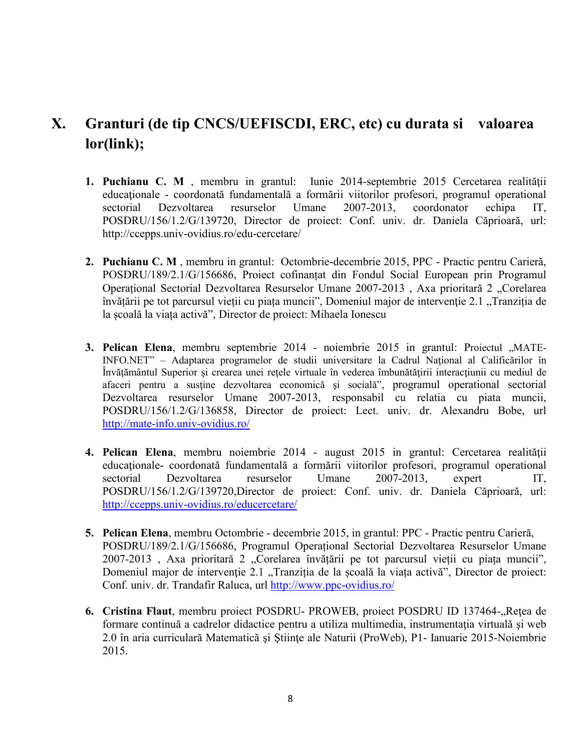## **X. Granturi (de tip CNCS/UEFISCDI, ERC, etc) cu durata si valoarea lor(link);**

- **1. Puchianu C. M** , membru in grantul: Iunie 2014-septembrie 2015 Cercetarea realităţii educaționale - coordonată fundamentală a formării viitorilor profesori, programul operational sectorial Dezvoltarea resurselor Umane 2007-2013, coordonator echipa IT, POSDRU/156/1.2/G/139720, Director de proiect: Conf. univ. dr. Daniela Căprioară, url: http://ccepps.univ-ovidius.ro/edu-cercetare/
- **2. Puchianu C. M** , membru in grantul: Octombrie-decembrie 2015, PPC Practic pentru Carieră, POSDRU/189/2.1/G/156686, Proiect cofinanțat din Fondul Social European prin Programul Operațional Sectorial Dezvoltarea Resurselor Umane 2007-2013, Axa prioritară 2 "Corelarea învățării pe tot parcursul vieții cu piața muncii", Domeniul major de intervenție 2.1 "Tranziția de la școală la viața activă", Director de proiect: Mihaela Ionescu
- **3. Pelican Elena**, membru septembrie 2014 noiembrie 2015 in grantul: Proiectul "MATE-INFO.NET" – Adaptarea programelor de studii universitare la Cadrul Naţional al Calificărilor în Învătământul Superior și crearea unei retele virtuale în vederea îmbunătățirii interacțiunii cu mediul de afaceri pentru a susţine dezvoltarea economică şi socială", programul operational sectorial Dezvoltarea resurselor Umane 2007-2013, responsabil cu relatia cu piata muncii, POSDRU/156/1.2/G/136858, Director de proiect: Lect. univ. dr. Alexandru Bobe, url http://mate-info.univ-ovidius.ro/
- **4. Pelican Elena**, membru noiembrie 2014 august 2015 in grantul: Cercetarea realităţii educaţionale- coordonată fundamentală a formării viitorilor profesori, programul operational sectorial Dezvoltarea resurselor Umane 2007-2013, expert IT, POSDRU/156/1.2/G/139720,Director de proiect: Conf. univ. dr. Daniela Căprioară, url: http://ccepps.univ-ovidius.ro/educercetare/
- **5. Pelican Elena**, membru Octombrie decembrie 2015, in grantul: PPC Practic pentru Carieră, POSDRU/189/2.1/G/156686, Programul Operațional Sectorial Dezvoltarea Resurselor Umane 2007-2013 , Axa prioritară 2 "Corelarea învățării pe tot parcursul vieții cu piața muncii", Domeniul major de intervenție 2.1 "Tranziția de la școală la viața activă", Director de proiect: Conf. univ. dr. Trandafir Raluca, url http://www.ppc-ovidius.ro/
- 6. Cristina Flaut, membru proiect POSDRU- PROWEB, proiect POSDRU ID 137464-, Rețea de formare continuă a cadrelor didactice pentru a utiliza multimedia, instrumentația virtuală și web 2.0 în aria curriculară Matematică şi Ştiinţe ale Naturii (ProWeb), P1- Ianuarie 2015-Noiembrie 2015.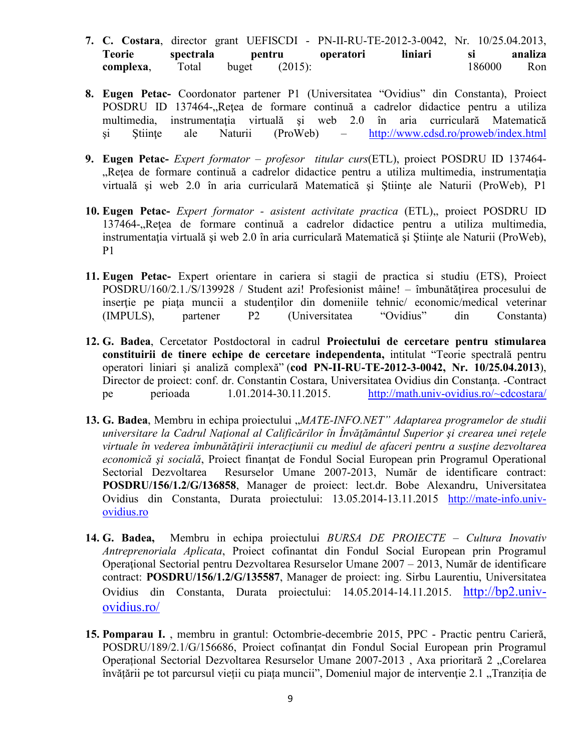- **7. C. Costara**, director grant UEFISCDI PN-II-RU-TE-2012-3-0042, Nr. 10/25.04.2013, **Teorie spectrala pentru operatori liniari si analiza complexa**, Total buget (2015): 186000 Ron
- **8. Eugen Petac-** Coordonator partener P1 (Universitatea "Ovidius" din Constanta), Proiect POSDRU ID 137464-, Retea de formare continuă a cadrelor didactice pentru a utiliza multimedia, instrumentația virtuală și web 2.0 în aria curriculară Matematică si Stiinte ale Naturii (ProWeb) – http://www.cdsd.ro/proweb/index.html
- **9. Eugen Petac-** *Expert formator profesor titular curs*(ETL), proiect POSDRU ID 137464- "Rețea de formare continuă a cadrelor didactice pentru a utiliza multimedia, instrumentația virtuală și web 2.0 în aria curriculară Matematică și Științe ale Naturii (ProWeb), P1
- **10. Eugen Petac-** *Expert formator asistent activitate practica* (ETL),, proiect POSDRU ID 137464-, Rețea de formare continuă a cadrelor didactice pentru a utiliza multimedia, instrumentaţia virtuală şi web 2.0 în aria curriculară Matematică şi Ştiinţe ale Naturii (ProWeb), P1
- **11. Eugen Petac-** Expert orientare in cariera si stagii de practica si studiu (ETS), Proiect POSDRU/160/2.1./S/139928 / Student azi! Profesionist mâine! – îmbunătățirea procesului de insertie pe piata muncii a studentilor din domeniile tehnic/ economic/medical veterinar (IMPULS), partener P2 (Universitatea "Ovidius" din Constanta)
- **12. G. Badea**, Cercetator Postdoctoral in cadrul **Proiectului de cercetare pentru stimularea constituirii de tinere echipe de cercetare independenta,** intitulat "Teorie spectrală pentru operatori liniari şi analiză complexă" (**cod PN-II-RU-TE-2012-3-0042, Nr. 10/25.04.2013**), Director de proiect: conf. dr. Constantin Costara, Universitatea Ovidius din Constanta. -Contract pe perioada 1.01.2014-30.11.2015. http://math.univ-ovidius.ro/~cdcostara/
- 13. **G. Badea**, Membru in echipa proiectului "*MATE-INFO.NET" Adaptarea programelor de studii universitare la Cadrul Naţional al Calificărilor în Învăţământul Superior şi crearea unei reţele virtuale în vederea îmbunătăţirii interacţiunii cu mediul de afaceri pentru a susţine dezvoltarea economică şi socială*, Proiect finanţat de Fondul Social European prin Programul Operational Sectorial Dezvoltarea Resurselor Umane 2007-2013, Număr de identificare contract: **POSDRU/156/1.2/G/136858**, Manager de proiect: lect.dr. Bobe Alexandru, Universitatea Ovidius din Constanta, Durata proiectului: 13.05.2014-13.11.2015 http://mate-info.univovidius.ro
- **14. G. Badea,** Membru in echipa proiectului *BURSA DE PROIECTE Cultura Inovativ Antreprenoriala Aplicata*, Proiect cofinantat din Fondul Social European prin Programul Operaţional Sectorial pentru Dezvoltarea Resurselor Umane 2007 – 2013, Număr de identificare contract: **POSDRU/156/1.2/G/135587**, Manager de proiect: ing. Sirbu Laurentiu, Universitatea Ovidius din Constanta, Durata proiectului: 14.05.2014-14.11.2015. http://bp2.univovidius.ro/
- **15. Pomparau I.** , membru in grantul: Octombrie-decembrie 2015, PPC Practic pentru Carieră, POSDRU/189/2.1/G/156686, Proiect cofinanțat din Fondul Social European prin Programul Operațional Sectorial Dezvoltarea Resurselor Umane 2007-2013, Axa prioritară 2 "Corelarea învățării pe tot parcursul vieții cu piața muncii", Domeniul major de intervenție 2.1 "Tranziția de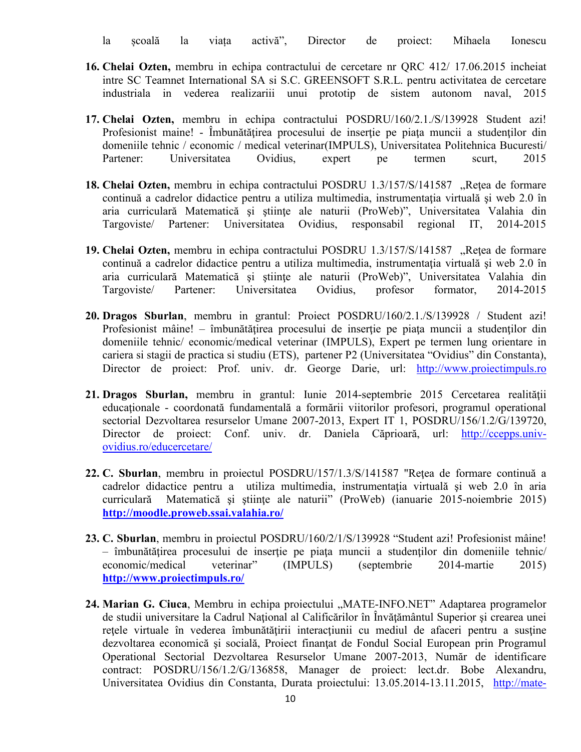la școală la viața activă", Director de proiect: Mihaela Ionescu

- **16. Chelai Ozten,** membru in echipa contractului de cercetare nr QRC 412/ 17.06.2015 incheiat intre SC Teamnet International SA si S.C. GREENSOFT S.R.L. pentru activitatea de cercetare industriala in vederea realizariii unui prototip de sistem autonom naval, 2015
- **17. Chelai Ozten,** membru in echipa contractului POSDRU/160/2.1./S/139928 Student azi! Profesionist maine! - Îmbunătățirea procesului de inserție pe piața muncii a studenților din domeniile tehnic / economic / medical veterinar(IMPULS), Universitatea Politehnica Bucuresti/ Partener: Universitatea Ovidius, expert pe termen scurt, 2015
- 18. Chelai Ozten, membru in echipa contractului POSDRU 1.3/157/S/141587 "Rețea de formare continuă a cadrelor didactice pentru a utiliza multimedia, instrumentaţia virtuală şi web 2.0 în aria curriculară Matematică şi ştiinţe ale naturii (ProWeb)", Universitatea Valahia din Targoviste/ Partener: Universitatea Ovidius, responsabil regional IT, 2014-2015
- 19. Chelai Ozten, membru in echipa contractului POSDRU 1.3/157/S/141587 "Rețea de formare continuă a cadrelor didactice pentru a utiliza multimedia, instrumentaţia virtuală şi web 2.0 în aria curriculară Matematică şi ştiinţe ale naturii (ProWeb)", Universitatea Valahia din Targoviste/ Partener: Universitatea Ovidius, profesor formator, 2014-2015
- **20. Dragos Sburlan**, membru in grantul: Proiect POSDRU/160/2.1./S/139928 / Student azi! Profesionist mâine! – îmbunătățirea procesului de inserție pe piața muncii a studenților din domeniile tehnic/ economic/medical veterinar (IMPULS), Expert pe termen lung orientare in cariera si stagii de practica si studiu (ETS), partener P2 (Universitatea "Ovidius" din Constanta), Director de proiect: Prof. univ. dr. George Darie, url: http://www.proiectimpuls.ro
- **21. Dragos Sburlan,** membru in grantul: Iunie 2014-septembrie 2015 Cercetarea realităţii educaţionale - coordonată fundamentală a formării viitorilor profesori, programul operational sectorial Dezvoltarea resurselor Umane 2007-2013, Expert IT 1, POSDRU/156/1.2/G/139720, Director de proiect: Conf. univ. dr. Daniela Căprioară, url: http://ccepps.univovidius.ro/educercetare/
- **22. C. Sburlan**, membru in proiectul POSDRU/157/1.3/S/141587 "Reţea de formare continuă a cadrelor didactice pentru a utiliza multimedia, instrumentaţia virtuală şi web 2.0 în aria curriculară Matematică și științe ale naturii" (ProWeb) (ianuarie 2015-noiembrie 2015) **http://moodle.proweb.ssai.valahia.ro/**
- **23. C. Sburlan**, membru in proiectul POSDRU/160/2/1/S/139928 "Student azi! Profesionist mâine! – îmbunătăţirea procesului de inserţie pe piaţa muncii a studenţilor din domeniile tehnic/ economic/medical veterinar" (IMPULS) (septembrie 2014-martie 2015) **http://www.proiectimpuls.ro/**
- 24. Marian G. Ciuca, Membru in echipa proiectului "MATE-INFO.NET" Adaptarea programelor de studii universitare la Cadrul Național al Calificărilor în Învățământul Superior și crearea unei reţele virtuale în vederea îmbunătăţirii interacţiunii cu mediul de afaceri pentru a susţine dezvoltarea economică și socială, Proiect finanțat de Fondul Social European prin Programul Operational Sectorial Dezvoltarea Resurselor Umane 2007-2013, Număr de identificare contract: POSDRU/156/1.2/G/136858, Manager de proiect: lect.dr. Bobe Alexandru, Universitatea Ovidius din Constanta, Durata proiectului: 13.05.2014-13.11.2015, http://mate-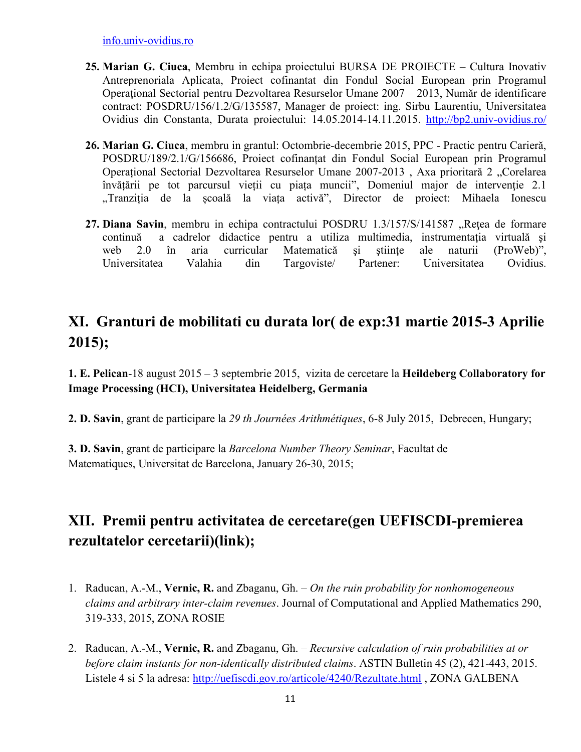info.univ-ovidius.ro

- **25. Marian G. Ciuca**, Membru in echipa proiectului BURSA DE PROIECTE Cultura Inovativ Antreprenoriala Aplicata, Proiect cofinantat din Fondul Social European prin Programul Operaţional Sectorial pentru Dezvoltarea Resurselor Umane 2007 – 2013, Număr de identificare contract: POSDRU/156/1.2/G/135587, Manager de proiect: ing. Sirbu Laurentiu, Universitatea Ovidius din Constanta, Durata proiectului: 14.05.2014-14.11.2015. http://bp2.univ-ovidius.ro/
- **26. Marian G. Ciuca**, membru in grantul: Octombrie-decembrie 2015, PPC Practic pentru Carieră, POSDRU/189/2.1/G/156686, Proiect cofinanțat din Fondul Social European prin Programul Operațional Sectorial Dezvoltarea Resurselor Umane 2007-2013, Axa prioritară 2 "Corelarea învățării pe tot parcursul vieții cu piața muncii", Domeniul major de intervenţie 2.1 "Tranziția de la școală la viața activă", Director de proiect: Mihaela Ionescu
- 27. **Diana Savin**, membru in echipa contractului POSDRU 1.3/157/S/141587 "Retea de formare continuă a cadrelor didactice pentru a utiliza multimedia, instrumentația virtuală și web 2.0 în aria curricular Matematică și științe ale naturii (ProWeb)", Universitatea Valahia din Targoviste/ Partener: Universitatea Ovidius.

## **XI. Granturi de mobilitati cu durata lor( de exp:31 martie 2015-3 Aprilie 2015);**

**1. E. Pelican**-18 august 2015 – 3 septembrie 2015,vizita de cercetare la **Heildeberg Collaboratory for Image Processing (HCI), Universitatea Heidelberg, Germania** 

**2. D. Savin**, grant de participare la *29 th Journées Arithmétiques*, 6-8 July 2015, Debrecen, Hungary;

**3. D. Savin**, grant de participare la *Barcelona Number Theory Seminar*, Facultat de Matematiques, Universitat de Barcelona, January 26-30, 2015;

# **XII. Premii pentru activitatea de cercetare(gen UEFISCDI-premierea rezultatelor cercetarii)(link);**

- 1. Raducan, A.-M., **Vernic, R.** and Zbaganu, Gh. *On the ruin probability for nonhomogeneous claims and arbitrary inter-claim revenues*. Journal of Computational and Applied Mathematics 290, 319-333, 2015, ZONA ROSIE
- 2. Raducan, A.-M., **Vernic, R.** and Zbaganu, Gh. *Recursive calculation of ruin probabilities at or before claim instants for non-identically distributed claims*. ASTIN Bulletin 45 (2), 421-443, 2015. Listele 4 si 5 la adresa: http://uefiscdi.gov.ro/articole/4240/Rezultate.html , ZONA GALBENA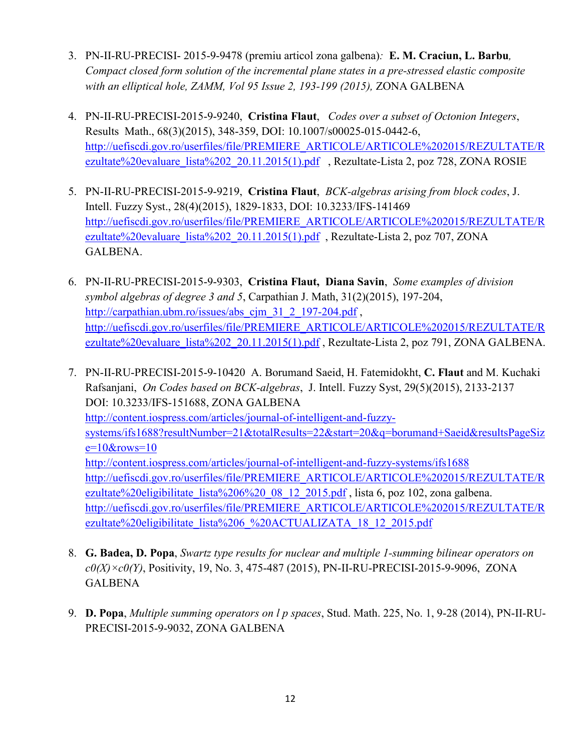- 3. PN-II-RU-PRECISI- 2015-9-9478 (premiu articol zona galbena)*:* **E. M. Craciun, L. Barbu***, Compact closed form solution of the incremental plane states in a pre-stressed elastic composite with an elliptical hole, ZAMM, Vol 95 Issue 2, 193-199 (2015),* ZONA GALBENA
- 4. PN-II-RU-PRECISI-2015-9-9240, **Cristina Flaut**, *Codes over a subset of Octonion Integers*, Results Math., 68(3)(2015), 348-359, DOI: 10.1007/s00025-015-0442-6, http://uefiscdi.gov.ro/userfiles/file/PREMIERE\_ARTICOLE/ARTICOLE%202015/REZULTATE/R ezultate%20evaluare\_lista%202\_20.11.2015(1).pdf , Rezultate-Lista 2, poz 728, ZONA ROSIE
- 5. PN-II-RU-PRECISI-2015-9-9219, **Cristina Flaut**, *BCK-algebras arising from block codes*, J. Intell. Fuzzy Syst., 28(4)(2015), 1829-1833, DOI: 10.3233/IFS-141469 http://uefiscdi.gov.ro/userfiles/file/PREMIERE\_ARTICOLE/ARTICOLE%202015/REZULTATE/R ezultate%20evaluare\_lista%202\_20.11.2015(1).pdf, Rezultate-Lista 2, poz 707, ZONA GALBENA.
- 6. PN-II-RU-PRECISI-2015-9-9303, **Cristina Flaut, Diana Savin**, *Some examples of division symbol algebras of degree 3 and 5*, Carpathian J. Math, 31(2)(2015), 197-204, http://carpathian.ubm.ro/issues/abs\_cim\_31\_2\_197-204.pdf , http://uefiscdi.gov.ro/userfiles/file/PREMIERE\_ARTICOLE/ARTICOLE%202015/REZULTATE/R ezultate%20evaluare\_lista%202\_20.11.2015(1).pdf, Rezultate-Lista 2, poz 791, ZONA GALBENA.
- 7. PN-II-RU-PRECISI-2015-9-10420 A. Borumand Saeid, H. Fatemidokht, **C. Flaut** and M. Kuchaki Rafsanjani, *On Codes based on BCK-algebras*, J. Intell. Fuzzy Syst, 29(5)(2015), 2133-2137 DOI: 10.3233/IFS-151688, ZONA GALBENA http://content.iospress.com/articles/journal-of-intelligent-and-fuzzysystems/ifs1688?resultNumber=21&totalResults=22&start=20&q=borumand+Saeid&resultsPageSiz  $e=10$ &rows=10 http://content.iospress.com/articles/journal-of-intelligent-and-fuzzy-systems/ifs1688 http://uefiscdi.gov.ro/userfiles/file/PREMIERE\_ARTICOLE/ARTICOLE%202015/REZULTATE/R ezultate%20eligibilitate lista%206%20\_08\_12\_2015.pdf, lista 6, poz 102, zona galbena. http://uefiscdi.gov.ro/userfiles/file/PREMIERE\_ARTICOLE/ARTICOLE%202015/REZULTATE/R ezultate%20eligibilitate\_lista%206\_%20ACTUALIZATA\_18\_12\_2015.pdf
- 8. **G. Badea, D. Popa**, *Swartz type results for nuclear and multiple 1-summing bilinear operators on c0(X)×c0(Y)*, Positivity, 19, No. 3, 475-487 (2015), PN-II-RU-PRECISI-2015-9-9096, ZONA **GALBENA**
- 9. **D. Popa**, *Multiple summing operators on l p spaces*, Stud. Math. 225, No. 1, 9-28 (2014), PN-II-RU-PRECISI-2015-9-9032, ZONA GALBENA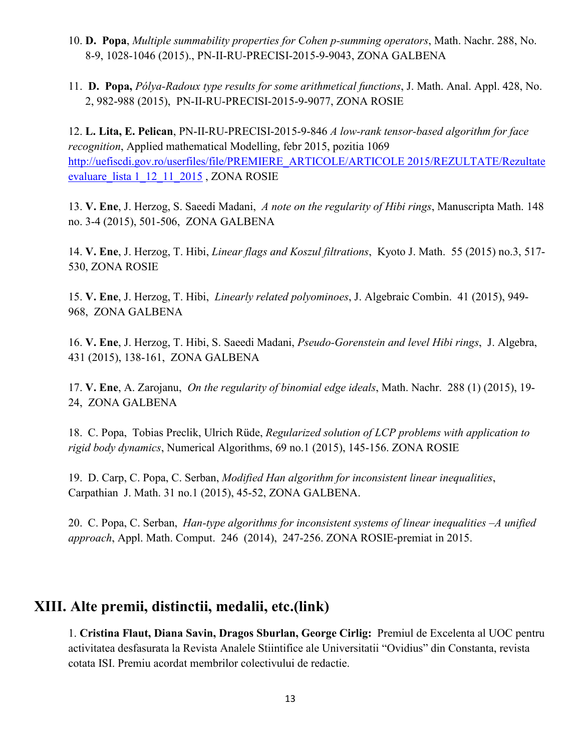- 10. **D. Popa**, *Multiple summability properties for Cohen p-summing operators*, Math. Nachr. 288, No. 8-9, 1028-1046 (2015)., PN-II-RU-PRECISI-2015-9-9043, ZONA GALBENA
- 11. **D. Popa,** *Pólya-Radoux type results for some arithmetical functions*, J. Math. Anal. Appl. 428, No. 2, 982-988 (2015), PN-II-RU-PRECISI-2015-9-9077, ZONA ROSIE

12. **L. Lita, E. Pelican**, PN-II-RU-PRECISI-2015-9-846 *A low-rank tensor-based algorithm for face recognition*, Applied mathematical Modelling, febr 2015, pozitia 1069 http://uefiscdi.gov.ro/userfiles/file/PREMIERE\_ARTICOLE/ARTICOLE 2015/REZULTATE/Rezultate evaluare\_lista 1\_12\_11\_2015 , ZONA ROSIE

13. **V. Ene**, J. Herzog, S. Saeedi Madani, *A note on the regularity of Hibi rings*, Manuscripta Math. 148 no. 3-4 (2015), 501-506, ZONA GALBENA

14. **V. Ene**, J. Herzog, T. Hibi, *Linear flags and Koszul filtrations*, Kyoto J. Math. 55 (2015) no.3, 517- 530, ZONA ROSIE

15. **V. Ene**, J. Herzog, T. Hibi, *Linearly related polyominoes*, J. Algebraic Combin. 41 (2015), 949- 968, ZONA GALBENA

16. **V. Ene**, J. Herzog, T. Hibi, S. Saeedi Madani, *Pseudo-Gorenstein and level Hibi rings*, J. Algebra, 431 (2015), 138-161, ZONA GALBENA

17. **V. Ene**, A. Zarojanu, *On the regularity of binomial edge ideals*, Math. Nachr. 288 (1) (2015), 19- 24, ZONA GALBENA

18. C. Popa, Tobias Preclik, Ulrich Rüde, *Regularized solution of LCP problems with application to rigid body dynamics*, Numerical Algorithms, 69 no.1 (2015), 145-156. ZONA ROSIE

19. D. Carp, C. Popa, C. Serban, *Modified Han algorithm for inconsistent linear inequalities*, Carpathian J. Math. 31 no.1 (2015), 45-52, ZONA GALBENA.

20. C. Popa, C. Serban, *Han-type algorithms for inconsistent systems of linear inequalities –A unified approach*, Appl. Math. Comput. 246 (2014), 247-256. ZONA ROSIE-premiat in 2015.

### **XIII. Alte premii, distinctii, medalii, etc.(link)**

1. **Cristina Flaut, Diana Savin, Dragos Sburlan, George Cirlig:** Premiul de Excelenta al UOC pentru activitatea desfasurata la Revista Analele Stiintifice ale Universitatii "Ovidius" din Constanta, revista cotata ISI. Premiu acordat membrilor colectivului de redactie.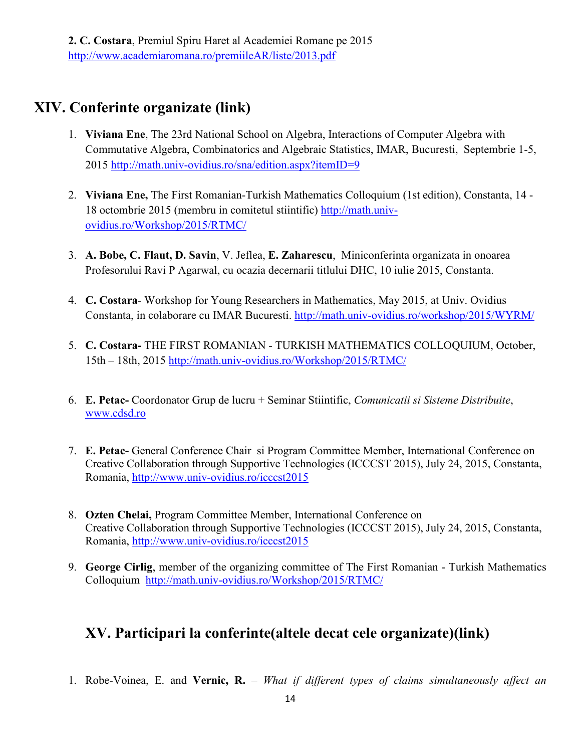## **XIV. Conferinte organizate (link)**

- 1. **Viviana Ene**, The 23rd National School on Algebra, Interactions of Computer Algebra with Commutative Algebra, Combinatorics and Algebraic Statistics, IMAR, Bucuresti, Septembrie 1-5, 2015 http://math.univ-ovidius.ro/sna/edition.aspx?itemID=9
- 2. **Viviana Ene,** The First Romanian-Turkish Mathematics Colloquium (1st edition), Constanta, 14 18 octombrie 2015 (membru in comitetul stiintific) http://math.univovidius.ro/Workshop/2015/RTMC/
- 3. **A. Bobe, C. Flaut, D. Savin**, V. Jeflea, **E. Zaharescu**, Miniconferinta organizata in onoarea Profesorului Ravi P Agarwal, cu ocazia decernarii titlului DHC, 10 iulie 2015, Constanta.
- 4. **C. Costara** Workshop for Young Researchers in Mathematics, May 2015, at Univ. Ovidius Constanta, in colaborare cu IMAR Bucuresti. http://math.univ-ovidius.ro/workshop/2015/WYRM/
- 5. **C. Costara-** THE FIRST ROMANIAN TURKISH MATHEMATICS COLLOQUIUM, October, 15th – 18th, 2015 http://math.univ-ovidius.ro/Workshop/2015/RTMC/
- 6. **E. Petac-** Coordonator Grup de lucru + Seminar Stiintific, *Comunicatii si Sisteme Distribuite*, www.cdsd.ro
- 7. **E. Petac-** General Conference Chair si Program Committee Member, International Conference on Creative Collaboration through Supportive Technologies (ICCCST 2015), July 24, 2015, Constanta, Romania, http://www.univ-ovidius.ro/icccst2015
- 8. **Ozten Chelai,** Program Committee Member, International Conference on Creative Collaboration through Supportive Technologies (ICCCST 2015), July 24, 2015, Constanta, Romania, http://www.univ-ovidius.ro/icccst2015
- 9. **George Cirlig**, member of the organizing committee of The First Romanian Turkish Mathematics Colloquium http://math.univ-ovidius.ro/Workshop/2015/RTMC/

### **XV. Participari la conferinte(altele decat cele organizate)(link)**

1. Robe-Voinea, E. and **Vernic, R.** – *What if different types of claims simultaneously affect an*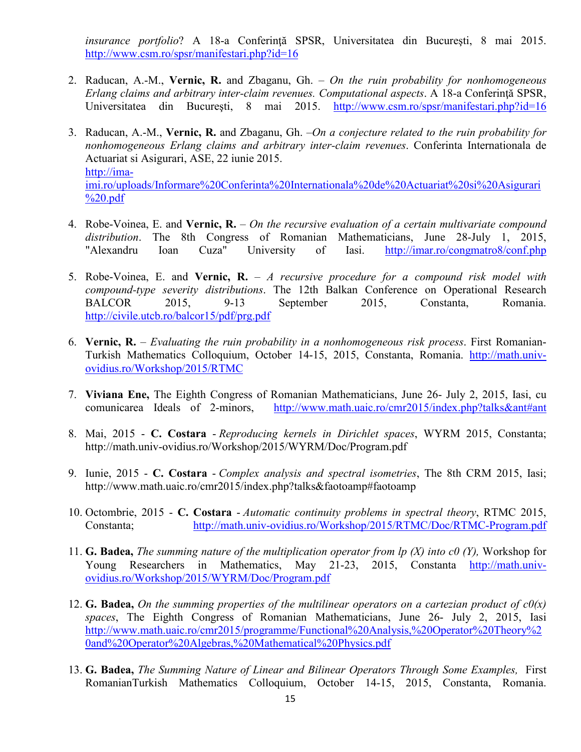*insurance portfolio*? A 18-a Conferinţă SPSR, Universitatea din Bucureşti, 8 mai 2015. http://www.csm.ro/spsr/manifestari.php?id=16

- 2. Raducan, A.-M., **Vernic, R.** and Zbaganu, Gh. *On the ruin probability for nonhomogeneous Erlang claims and arbitrary inter-claim revenues. Computational aspects*. A 18-a Conferinţă SPSR, Universitatea din București, 8 mai 2015. http://www.csm.ro/spsr/manifestari.php?id=16
- 3. Raducan, A.-M., **Vernic, R.** and Zbaganu, Gh. –*On a conjecture related to the ruin probability for nonhomogeneous Erlang claims and arbitrary inter-claim revenues*. Conferinta Internationala de Actuariat si Asigurari, ASE, 22 iunie 2015. http://imaimi.ro/uploads/Informare%20Conferinta%20Internationala%20de%20Actuariat%20si%20Asigurari %20.pdf
- 4. Robe-Voinea, E. and **Vernic, R.** *On the recursive evaluation of a certain multivariate compound distribution*. The 8th Congress of Romanian Mathematicians, June 28-July 1, 2015, "Alexandru Ioan Cuza" University of Iasi. http://imar.ro/congmatro8/conf.php
- 5. Robe-Voinea, E. and **Vernic, R.** *A recursive procedure for a compound risk model with compound-type severity distributions*. The 12th Balkan Conference on Operational Research BALCOR 2015, 9-13 September 2015, Constanta, Romania. http://civile.utcb.ro/balcor15/pdf/prg.pdf
- 6. **Vernic, R.**  *Evaluating the ruin probability in a nonhomogeneous risk process*. First Romanian-Turkish Mathematics Colloquium, October 14-15, 2015, Constanta, Romania. http://math.univovidius.ro/Workshop/2015/RTMC
- 7. **Viviana Ene,** The Eighth Congress of Romanian Mathematicians, June 26- July 2, 2015, Iasi, cu<br>comunicarea Ideals of 2-minors, http://www.math.uaic.ro/cmr2015/index.php?talks&ant#ant http://www.math.uaic.ro/cmr2015/index.php?talks&ant#ant
- 8. Mai, 2015 **C. Costara** *Reproducing kernels in Dirichlet spaces*, WYRM 2015, Constanta; http://math.univ-ovidius.ro/Workshop/2015/WYRM/Doc/Program.pdf
- 9. Iunie, 2015 **C. Costara** *Complex analysis and spectral isometries*, The 8th CRM 2015, Iasi; http://www.math.uaic.ro/cmr2015/index.php?talks&faotoamp#faotoamp
- 10. Octombrie, 2015 **C. Costara** *Automatic continuity problems in spectral theory*, RTMC 2015, Constanta; http://math.univ-ovidius.ro/Workshop/2015/RTMC/Doc/RTMC-Program.pdf
- 11. **G. Badea,** *The summing nature of the multiplication operator from lp (X) into c0 (Y),* Workshop for Young Researchers in Mathematics, May 21-23, 2015, Constanta http://math.univovidius.ro/Workshop/2015/WYRM/Doc/Program.pdf
- 12. **G. Badea,** *On the summing properties of the multilinear operators on a cartezian product of*  $c0(x)$ *spaces*, The Eighth Congress of Romanian Mathematicians, June 26- July 2, 2015, Iasi http://www.math.uaic.ro/cmr2015/programme/Functional%20Analysis,%20Operator%20Theory%2 0and%20Operator%20Algebras,%20Mathematical%20Physics.pdf
- 13. **G. Badea,** *The Summing Nature of Linear and Bilinear Operators Through Some Examples,* First RomanianTurkish Mathematics Colloquium, October 14-15, 2015, Constanta, Romania.